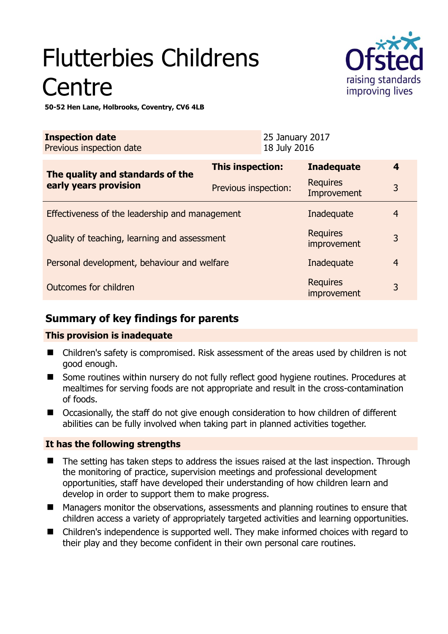# Flutterbies Childrens **Centre**



**50-52 Hen Lane, Holbrooks, Coventry, CV6 4LB** 

| <b>Inspection date</b><br>Previous inspection date |                         | 25 January 2017<br>18 July 2016 |                                |                |
|----------------------------------------------------|-------------------------|---------------------------------|--------------------------------|----------------|
| The quality and standards of the                   | <b>This inspection:</b> |                                 | <b>Inadequate</b>              | 4              |
| early years provision                              | Previous inspection:    |                                 | <b>Requires</b><br>Improvement | 3              |
| Effectiveness of the leadership and management     |                         |                                 | Inadequate                     | 4              |
| Quality of teaching, learning and assessment       |                         |                                 | <b>Requires</b><br>improvement | 3              |
| Personal development, behaviour and welfare        |                         |                                 | Inadequate                     | $\overline{4}$ |
| Outcomes for children                              |                         |                                 | <b>Requires</b><br>improvement | 3              |

# **Summary of key findings for parents**

## **This provision is inadequate**

- Children's safety is compromised. Risk assessment of the areas used by children is not good enough.
- Some routines within nursery do not fully reflect good hygiene routines. Procedures at mealtimes for serving foods are not appropriate and result in the cross-contamination of foods.
- Occasionally, the staff do not give enough consideration to how children of different abilities can be fully involved when taking part in planned activities together.

## **It has the following strengths**

- The setting has taken steps to address the issues raised at the last inspection. Through the monitoring of practice, supervision meetings and professional development opportunities, staff have developed their understanding of how children learn and develop in order to support them to make progress.
- Managers monitor the observations, assessments and planning routines to ensure that children access a variety of appropriately targeted activities and learning opportunities.
- Children's independence is supported well. They make informed choices with regard to their play and they become confident in their own personal care routines.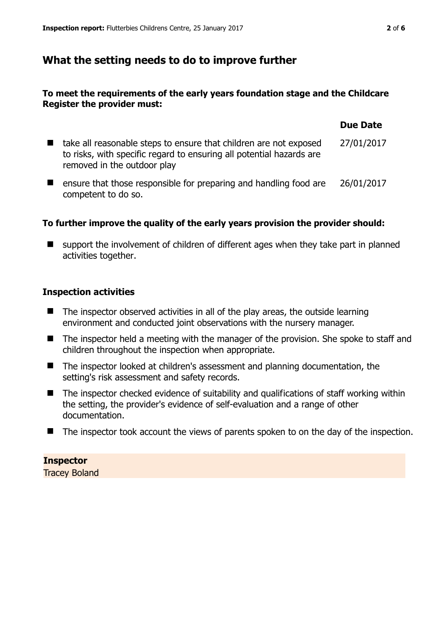## **What the setting needs to do to improve further**

## **To meet the requirements of the early years foundation stage and the Childcare Register the provider must:**

|                                                                                                                                                                          | <b>Due Date</b> |
|--------------------------------------------------------------------------------------------------------------------------------------------------------------------------|-----------------|
| take all reasonable steps to ensure that children are not exposed<br>to risks, with specific regard to ensuring all potential hazards are<br>removed in the outdoor play | 27/01/2017      |
| ensure that those responsible for preparing and handling food are<br>competent to do so.                                                                                 | 26/01/2017      |

## **To further improve the quality of the early years provision the provider should:**

 $\blacksquare$  support the involvement of children of different ages when they take part in planned activities together.

#### **Inspection activities**

- $\blacksquare$  The inspector observed activities in all of the play areas, the outside learning environment and conducted joint observations with the nursery manager.
- The inspector held a meeting with the manager of the provision. She spoke to staff and children throughout the inspection when appropriate.
- The inspector looked at children's assessment and planning documentation, the setting's risk assessment and safety records.
- The inspector checked evidence of suitability and qualifications of staff working within the setting, the provider's evidence of self-evaluation and a range of other documentation.
- The inspector took account the views of parents spoken to on the day of the inspection.

## **Inspector**

Tracey Boland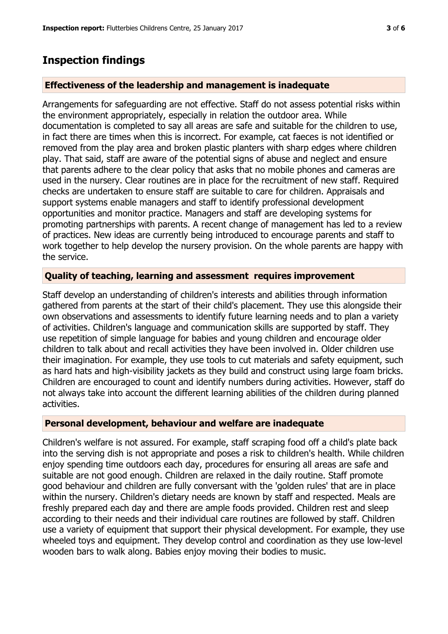# **Inspection findings**

## **Effectiveness of the leadership and management is inadequate**

Arrangements for safeguarding are not effective. Staff do not assess potential risks within the environment appropriately, especially in relation the outdoor area. While documentation is completed to say all areas are safe and suitable for the children to use, in fact there are times when this is incorrect. For example, cat faeces is not identified or removed from the play area and broken plastic planters with sharp edges where children play. That said, staff are aware of the potential signs of abuse and neglect and ensure that parents adhere to the clear policy that asks that no mobile phones and cameras are used in the nursery. Clear routines are in place for the recruitment of new staff. Required checks are undertaken to ensure staff are suitable to care for children. Appraisals and support systems enable managers and staff to identify professional development opportunities and monitor practice. Managers and staff are developing systems for promoting partnerships with parents. A recent change of management has led to a review of practices. New ideas are currently being introduced to encourage parents and staff to work together to help develop the nursery provision. On the whole parents are happy with the service.

## **Quality of teaching, learning and assessment requires improvement**

Staff develop an understanding of children's interests and abilities through information gathered from parents at the start of their child's placement. They use this alongside their own observations and assessments to identify future learning needs and to plan a variety of activities. Children's language and communication skills are supported by staff. They use repetition of simple language for babies and young children and encourage older children to talk about and recall activities they have been involved in. Older children use their imagination. For example, they use tools to cut materials and safety equipment, such as hard hats and high-visibility jackets as they build and construct using large foam bricks. Children are encouraged to count and identify numbers during activities. However, staff do not always take into account the different learning abilities of the children during planned activities.

## **Personal development, behaviour and welfare are inadequate**

Children's welfare is not assured. For example, staff scraping food off a child's plate back into the serving dish is not appropriate and poses a risk to children's health. While children enjoy spending time outdoors each day, procedures for ensuring all areas are safe and suitable are not good enough. Children are relaxed in the daily routine. Staff promote good behaviour and children are fully conversant with the 'golden rules' that are in place within the nursery. Children's dietary needs are known by staff and respected. Meals are freshly prepared each day and there are ample foods provided. Children rest and sleep according to their needs and their individual care routines are followed by staff. Children use a variety of equipment that support their physical development. For example, they use wheeled toys and equipment. They develop control and coordination as they use low-level wooden bars to walk along. Babies enjoy moving their bodies to music.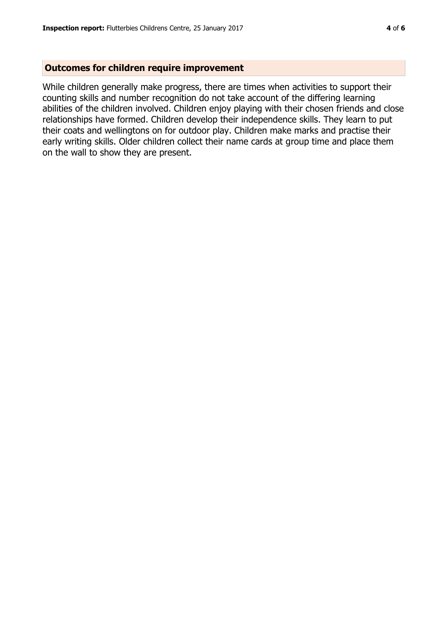## **Outcomes for children require improvement**

While children generally make progress, there are times when activities to support their counting skills and number recognition do not take account of the differing learning abilities of the children involved. Children enjoy playing with their chosen friends and close relationships have formed. Children develop their independence skills. They learn to put their coats and wellingtons on for outdoor play. Children make marks and practise their early writing skills. Older children collect their name cards at group time and place them on the wall to show they are present.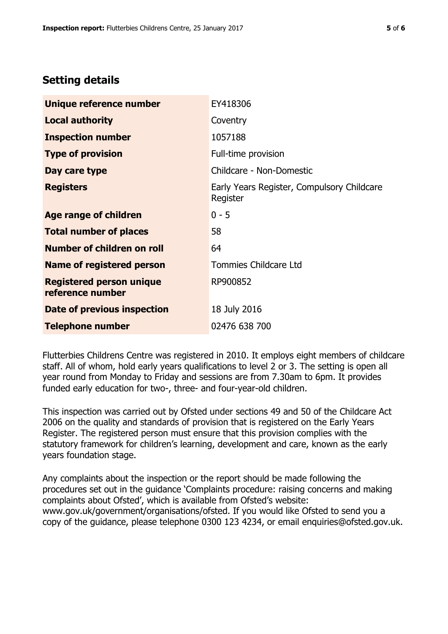## **Setting details**

| Unique reference number                             | EY418306                                               |
|-----------------------------------------------------|--------------------------------------------------------|
| <b>Local authority</b>                              | Coventry                                               |
| <b>Inspection number</b>                            | 1057188                                                |
| <b>Type of provision</b>                            | Full-time provision                                    |
| Day care type                                       | Childcare - Non-Domestic                               |
| <b>Registers</b>                                    | Early Years Register, Compulsory Childcare<br>Register |
| Age range of children                               | $0 - 5$                                                |
| <b>Total number of places</b>                       | 58                                                     |
| Number of children on roll                          | 64                                                     |
| <b>Name of registered person</b>                    | Tommies Childcare Ltd                                  |
| <b>Registered person unique</b><br>reference number | RP900852                                               |
| <b>Date of previous inspection</b>                  | 18 July 2016                                           |
| <b>Telephone number</b>                             | 02476 638 700                                          |

Flutterbies Childrens Centre was registered in 2010. It employs eight members of childcare staff. All of whom, hold early years qualifications to level 2 or 3. The setting is open all year round from Monday to Friday and sessions are from 7.30am to 6pm. It provides funded early education for two-, three- and four-year-old children.

This inspection was carried out by Ofsted under sections 49 and 50 of the Childcare Act 2006 on the quality and standards of provision that is registered on the Early Years Register. The registered person must ensure that this provision complies with the statutory framework for children's learning, development and care, known as the early years foundation stage.

Any complaints about the inspection or the report should be made following the procedures set out in the guidance 'Complaints procedure: raising concerns and making complaints about Ofsted', which is available from Ofsted's website: www.gov.uk/government/organisations/ofsted. If you would like Ofsted to send you a copy of the guidance, please telephone 0300 123 4234, or email enquiries@ofsted.gov.uk.